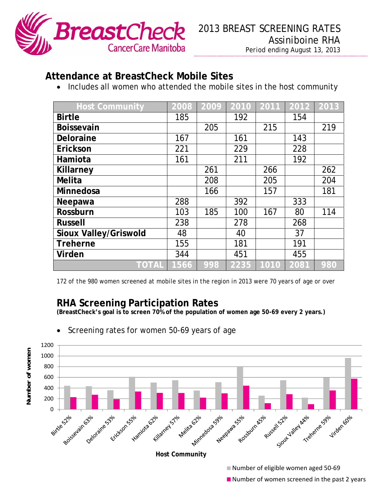

## **Attendance at BreastCheck Mobile Sites**

• Includes all women who attended the mobile sites in the host community

| <b>Host Community</b>        | 2008 | 2009 | 2010 | 2011 | $\overline{20}$ 12 | 2013 |
|------------------------------|------|------|------|------|--------------------|------|
| <b>Birtle</b>                | 185  |      | 192  |      | 154                |      |
| <b>Boissevain</b>            |      | 205  |      | 215  |                    | 219  |
| <b>Deloraine</b>             | 167  |      | 161  |      | 143                |      |
| Erickson                     | 221  |      | 229  |      | 228                |      |
| Hamiota                      | 161  |      | 211  |      | 192                |      |
| <b>Killarney</b>             |      | 261  |      | 266  |                    | 262  |
| <b>Melita</b>                |      | 208  |      | 205  |                    | 204  |
| Minnedosa                    |      | 166  |      | 157  |                    | 181  |
| Neepawa                      | 288  |      | 392  |      | 333                |      |
| Rossburn                     | 103  | 185  | 100  | 167  | 80                 | 114  |
| <b>Russell</b>               | 238  |      | 278  |      | 268                |      |
| <b>Sioux Valley/Griswold</b> | 48   |      | 40   |      | 37                 |      |
| <b>Treherne</b>              | 155  |      | 181  |      | 191                |      |
| Virden                       | 344  |      | 451  |      | 455                |      |
| TOTAL                        | 1566 | 998  | 2235 | 1010 | 2081               | 980  |

*172 of the 980 women screened at mobile sites in the region in 2013 were 70 years of age or over* 

## **RHA Screening Participation Rates**

**(BreastCheck's goal is to screen 70% of the population of women age 50-69 every 2 years.)** 



Screening rates for women 50-69 years of age